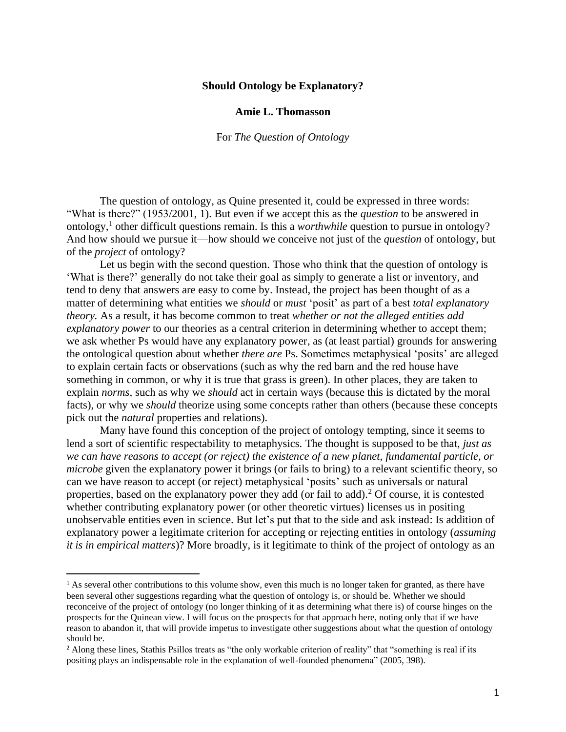# **Should Ontology be Explanatory?**

## **Amie L. Thomasson**

For *The Question of Ontology* 

The question of ontology, as Quine presented it, could be expressed in three words: "What is there?" (1953/2001, 1). But even if we accept this as the *question* to be answered in ontology,<sup>1</sup> other difficult questions remain. Is this a *worthwhile* question to pursue in ontology? And how should we pursue it—how should we conceive not just of the *question* of ontology, but of the *project* of ontology?

Let us begin with the second question. Those who think that the question of ontology is 'What is there?' generally do not take their goal as simply to generate a list or inventory, and tend to deny that answers are easy to come by. Instead, the project has been thought of as a matter of determining what entities we *should* or *must* 'posit' as part of a best *total explanatory theory.* As a result, it has become common to treat *whether or not the alleged entities add explanatory power* to our theories as a central criterion in determining whether to accept them; we ask whether Ps would have any explanatory power, as (at least partial) grounds for answering the ontological question about whether *there are* Ps. Sometimes metaphysical 'posits' are alleged to explain certain facts or observations (such as why the red barn and the red house have something in common, or why it is true that grass is green). In other places, they are taken to explain *norms,* such as why we *should* act in certain ways (because this is dictated by the moral facts), or why we *should* theorize using some concepts rather than others (because these concepts pick out the *natural* properties and relations).

Many have found this conception of the project of ontology tempting, since it seems to lend a sort of scientific respectability to metaphysics. The thought is supposed to be that, *just as we can have reasons to accept (or reject) the existence of a new planet, fundamental particle, or microbe* given the explanatory power it brings (or fails to bring) to a relevant scientific theory, so can we have reason to accept (or reject) metaphysical 'posits' such as universals or natural properties, based on the explanatory power they add (or fail to add).<sup>2</sup> Of course, it is contested whether contributing explanatory power (or other theoretic virtues) licenses us in positing unobservable entities even in science. But let's put that to the side and ask instead: Is addition of explanatory power a legitimate criterion for accepting or rejecting entities in ontology (*assuming it is in empirical matters*)? More broadly, is it legitimate to think of the project of ontology as an

<sup>&</sup>lt;sup>1</sup> As several other contributions to this volume show, even this much is no longer taken for granted, as there have been several other suggestions regarding what the question of ontology is, or should be. Whether we should reconceive of the project of ontology (no longer thinking of it as determining what there is) of course hinges on the prospects for the Quinean view. I will focus on the prospects for that approach here, noting only that if we have reason to abandon it, that will provide impetus to investigate other suggestions about what the question of ontology should be.

<sup>&</sup>lt;sup>2</sup> Along these lines, Stathis Psillos treats as "the only workable criterion of reality" that "something is real if its positing plays an indispensable role in the explanation of well-founded phenomena" (2005, 398).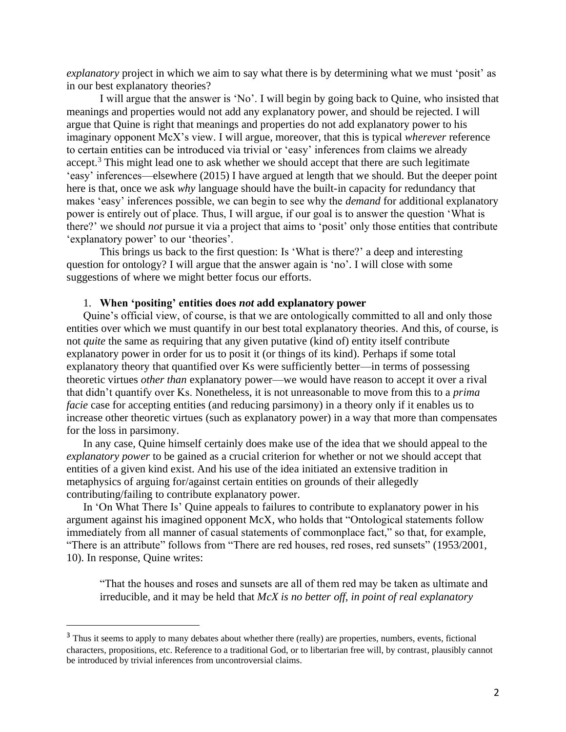*explanatory* project in which we aim to say what there is by determining what we must 'posit' as in our best explanatory theories?

I will argue that the answer is 'No'. I will begin by going back to Quine, who insisted that meanings and properties would not add any explanatory power, and should be rejected. I will argue that Quine is right that meanings and properties do not add explanatory power to his imaginary opponent McX's view. I will argue, moreover, that this is typical *wherever* reference to certain entities can be introduced via trivial or 'easy' inferences from claims we already accept.<sup>3</sup> This might lead one to ask whether we should accept that there are such legitimate 'easy' inferences—elsewhere (2015) I have argued at length that we should. But the deeper point here is that, once we ask *why* language should have the built-in capacity for redundancy that makes 'easy' inferences possible, we can begin to see why the *demand* for additional explanatory power is entirely out of place. Thus, I will argue, if our goal is to answer the question 'What is there?' we should *not* pursue it via a project that aims to 'posit' only those entities that contribute 'explanatory power' to our 'theories'.

This brings us back to the first question: Is 'What is there?' a deep and interesting question for ontology? I will argue that the answer again is 'no'. I will close with some suggestions of where we might better focus our efforts.

#### 1. **When 'positing' entities does** *not* **add explanatory power**

Quine's official view, of course, is that we are ontologically committed to all and only those entities over which we must quantify in our best total explanatory theories. And this, of course, is not *quite* the same as requiring that any given putative (kind of) entity itself contribute explanatory power in order for us to posit it (or things of its kind). Perhaps if some total explanatory theory that quantified over Ks were sufficiently better—in terms of possessing theoretic virtues *other than* explanatory power—we would have reason to accept it over a rival that didn't quantify over Ks. Nonetheless, it is not unreasonable to move from this to a *prima facie* case for accepting entities (and reducing parsimony) in a theory only if it enables us to increase other theoretic virtues (such as explanatory power) in a way that more than compensates for the loss in parsimony.

In any case, Quine himself certainly does make use of the idea that we should appeal to the *explanatory power* to be gained as a crucial criterion for whether or not we should accept that entities of a given kind exist. And his use of the idea initiated an extensive tradition in metaphysics of arguing for/against certain entities on grounds of their allegedly contributing/failing to contribute explanatory power.

In 'On What There Is' Quine appeals to failures to contribute to explanatory power in his argument against his imagined opponent McX, who holds that "Ontological statements follow immediately from all manner of casual statements of commonplace fact," so that, for example, "There is an attribute" follows from "There are red houses, red roses, red sunsets" (1953/2001, 10). In response, Quine writes:

"That the houses and roses and sunsets are all of them red may be taken as ultimate and irreducible, and it may be held that *McX is no better off, in point of real explanatory* 

<sup>&</sup>lt;sup>3</sup> Thus it seems to apply to many debates about whether there (really) are properties, numbers, events, fictional characters, propositions, etc. Reference to a traditional God, or to libertarian free will, by contrast, plausibly cannot be introduced by trivial inferences from uncontroversial claims.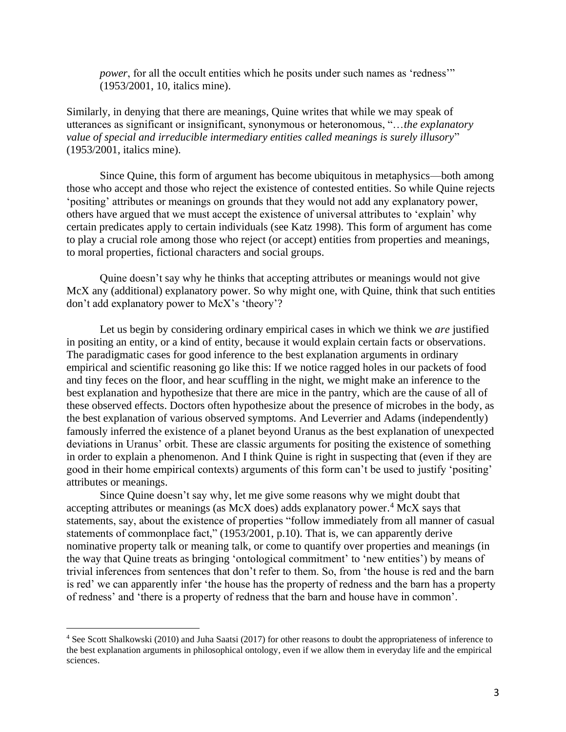*power*, for all the occult entities which he posits under such names as 'redness'" (1953/2001, 10, italics mine).

Similarly, in denying that there are meanings, Quine writes that while we may speak of utterances as significant or insignificant, synonymous or heteronomous, "…*the explanatory value of special and irreducible intermediary entities called meanings is surely illusory*" (1953/2001, italics mine).

Since Quine, this form of argument has become ubiquitous in metaphysics—both among those who accept and those who reject the existence of contested entities. So while Quine rejects 'positing' attributes or meanings on grounds that they would not add any explanatory power, others have argued that we must accept the existence of universal attributes to 'explain' why certain predicates apply to certain individuals (see Katz 1998). This form of argument has come to play a crucial role among those who reject (or accept) entities from properties and meanings, to moral properties, fictional characters and social groups.

Quine doesn't say why he thinks that accepting attributes or meanings would not give McX any (additional) explanatory power. So why might one, with Quine, think that such entities don't add explanatory power to McX's 'theory'?

Let us begin by considering ordinary empirical cases in which we think we *are* justified in positing an entity, or a kind of entity, because it would explain certain facts or observations. The paradigmatic cases for good inference to the best explanation arguments in ordinary empirical and scientific reasoning go like this: If we notice ragged holes in our packets of food and tiny feces on the floor, and hear scuffling in the night, we might make an inference to the best explanation and hypothesize that there are mice in the pantry, which are the cause of all of these observed effects. Doctors often hypothesize about the presence of microbes in the body, as the best explanation of various observed symptoms. And Leverrier and Adams (independently) famously inferred the existence of a planet beyond Uranus as the best explanation of unexpected deviations in Uranus' orbit. These are classic arguments for positing the existence of something in order to explain a phenomenon. And I think Quine is right in suspecting that (even if they are good in their home empirical contexts) arguments of this form can't be used to justify 'positing' attributes or meanings.

Since Quine doesn't say why, let me give some reasons why we might doubt that accepting attributes or meanings (as McX does) adds explanatory power. <sup>4</sup> McX says that statements, say, about the existence of properties "follow immediately from all manner of casual statements of commonplace fact," (1953/2001, p.10). That is, we can apparently derive nominative property talk or meaning talk, or come to quantify over properties and meanings (in the way that Quine treats as bringing 'ontological commitment' to 'new entities') by means of trivial inferences from sentences that don't refer to them. So, from 'the house is red and the barn is red' we can apparently infer 'the house has the property of redness and the barn has a property of redness' and 'there is a property of redness that the barn and house have in common'.

<sup>4</sup> See Scott Shalkowski (2010) and Juha Saatsi (2017) for other reasons to doubt the appropriateness of inference to the best explanation arguments in philosophical ontology, even if we allow them in everyday life and the empirical sciences.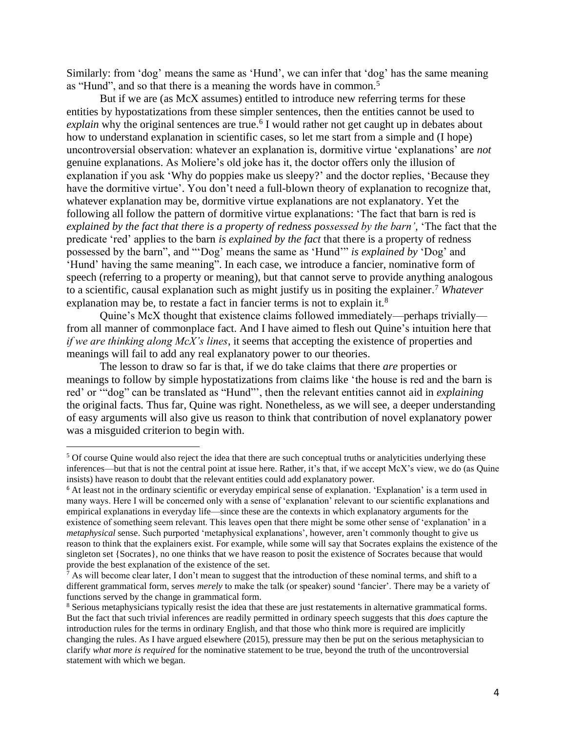Similarly: from 'dog' means the same as 'Hund', we can infer that 'dog' has the same meaning as "Hund", and so that there is a meaning the words have in common.<sup>5</sup>

But if we are (as McX assumes) entitled to introduce new referring terms for these entities by hypostatizations from these simpler sentences, then the entities cannot be used to explain why the original sentences are true.<sup>6</sup> I would rather not get caught up in debates about how to understand explanation in scientific cases, so let me start from a simple and (I hope) uncontroversial observation: whatever an explanation is, dormitive virtue 'explanations' are *not*  genuine explanations. As Moliere's old joke has it, the doctor offers only the illusion of explanation if you ask 'Why do poppies make us sleepy?' and the doctor replies, 'Because they have the dormitive virtue'. You don't need a full-blown theory of explanation to recognize that, whatever explanation may be, dormitive virtue explanations are not explanatory. Yet the following all follow the pattern of dormitive virtue explanations: 'The fact that barn is red is *explained by the fact that there is a property of redness possessed by the barn',* 'The fact that the predicate 'red' applies to the barn *is explained by the fact* that there is a property of redness possessed by the barn", and "'Dog' means the same as 'Hund'" *is explained by* 'Dog' and 'Hund' having the same meaning". In each case, we introduce a fancier, nominative form of speech (referring to a property or meaning), but that cannot serve to provide anything analogous to a scientific, causal explanation such as might justify us in positing the explainer. <sup>7</sup> *Whatever* explanation may be, to restate a fact in fancier terms is not to explain it.<sup>8</sup>

Quine's McX thought that existence claims followed immediately—perhaps trivially from all manner of commonplace fact. And I have aimed to flesh out Quine's intuition here that *if we are thinking along McX's lines*, it seems that accepting the existence of properties and meanings will fail to add any real explanatory power to our theories.

The lesson to draw so far is that, if we do take claims that there *are* properties or meanings to follow by simple hypostatizations from claims like 'the house is red and the barn is red' or '"dog" can be translated as "Hund"', then the relevant entities cannot aid in *explaining*  the original facts*.* Thus far, Quine was right. Nonetheless, as we will see, a deeper understanding of easy arguments will also give us reason to think that contribution of novel explanatory power was a misguided criterion to begin with.

<sup>&</sup>lt;sup>5</sup> Of course Quine would also reject the idea that there are such conceptual truths or analyticities underlying these inferences—but that is not the central point at issue here. Rather, it's that, if we accept McX's view, we do (as Quine insists) have reason to doubt that the relevant entities could add explanatory power.

<sup>6</sup> At least not in the ordinary scientific or everyday empirical sense of explanation. 'Explanation' is a term used in many ways. Here I will be concerned only with a sense of 'explanation' relevant to our scientific explanations and empirical explanations in everyday life—since these are the contexts in which explanatory arguments for the existence of something seem relevant. This leaves open that there might be some other sense of 'explanation' in a *metaphysical* sense. Such purported 'metaphysical explanations', however, aren't commonly thought to give us reason to think that the explainers exist. For example, while some will say that Socrates explains the existence of the singleton set {Socrates}, no one thinks that we have reason to posit the existence of Socrates because that would provide the best explanation of the existence of the set.

 $\bar{7}$  As will become clear later, I don't mean to suggest that the introduction of these nominal terms, and shift to a different grammatical form, serves *merely* to make the talk (or speaker) sound 'fancier'. There may be a variety of functions served by the change in grammatical form.

<sup>8</sup> Serious metaphysicians typically resist the idea that these are just restatements in alternative grammatical forms. But the fact that such trivial inferences are readily permitted in ordinary speech suggests that this *does* capture the introduction rules for the terms in ordinary English, and that those who think more is required are implicitly changing the rules. As I have argued elsewhere (2015), pressure may then be put on the serious metaphysician to clarify *what more is required* for the nominative statement to be true, beyond the truth of the uncontroversial statement with which we began.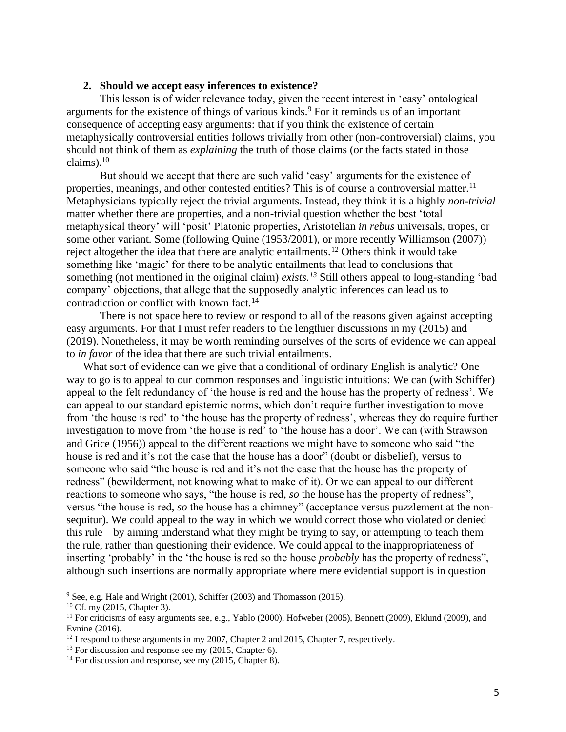# **2. Should we accept easy inferences to existence?**

This lesson is of wider relevance today, given the recent interest in 'easy' ontological arguments for the existence of things of various kinds.<sup>9</sup> For it reminds us of an important consequence of accepting easy arguments: that if you think the existence of certain metaphysically controversial entities follows trivially from other (non-controversial) claims, you should not think of them as *explaining* the truth of those claims (or the facts stated in those claims). 10

But should we accept that there are such valid 'easy' arguments for the existence of properties, meanings, and other contested entities? This is of course a controversial matter.<sup>11</sup> Metaphysicians typically reject the trivial arguments. Instead, they think it is a highly *non-trivial*  matter whether there are properties, and a non-trivial question whether the best 'total metaphysical theory' will 'posit' Platonic properties, Aristotelian *in rebus* universals, tropes, or some other variant. Some (following Quine (1953/2001), or more recently Williamson (2007)) reject altogether the idea that there are analytic entailments.<sup>12</sup> Others think it would take something like 'magic' for there to be analytic entailments that lead to conclusions that something (not mentioned in the original claim) *exists.<sup>13</sup>* Still others appeal to long-standing 'bad company' objections, that allege that the supposedly analytic inferences can lead us to contradiction or conflict with known fact.<sup>14</sup>

There is not space here to review or respond to all of the reasons given against accepting easy arguments. For that I must refer readers to the lengthier discussions in my (2015) and (2019). Nonetheless, it may be worth reminding ourselves of the sorts of evidence we can appeal to *in favor* of the idea that there are such trivial entailments.

What sort of evidence can we give that a conditional of ordinary English is analytic? One way to go is to appeal to our common responses and linguistic intuitions: We can (with Schiffer) appeal to the felt redundancy of 'the house is red and the house has the property of redness'. We can appeal to our standard epistemic norms, which don't require further investigation to move from 'the house is red' to 'the house has the property of redness', whereas they do require further investigation to move from 'the house is red' to 'the house has a door'. We can (with Strawson and Grice (1956)) appeal to the different reactions we might have to someone who said "the house is red and it's not the case that the house has a door" (doubt or disbelief), versus to someone who said "the house is red and it's not the case that the house has the property of redness" (bewilderment, not knowing what to make of it). Or we can appeal to our different reactions to someone who says, "the house is red, *so* the house has the property of redness", versus "the house is red, *so* the house has a chimney" (acceptance versus puzzlement at the nonsequitur). We could appeal to the way in which we would correct those who violated or denied this rule—by aiming understand what they might be trying to say, or attempting to teach them the rule, rather than questioning their evidence. We could appeal to the inappropriateness of inserting 'probably' in the 'the house is red so the house *probably* has the property of redness", although such insertions are normally appropriate where mere evidential support is in question

 $9$  See, e.g. Hale and Wright (2001), Schiffer (2003) and Thomasson (2015).

<sup>10</sup> Cf. my (2015, Chapter 3).

 $11$  For criticisms of easy arguments see, e.g., Yablo (2000), Hofweber (2005), Bennett (2009), Eklund (2009), and Evnine (2016).

 $12$  I respond to these arguments in my 2007, Chapter 2 and 2015, Chapter 7, respectively.

<sup>&</sup>lt;sup>13</sup> For discussion and response see my (2015, Chapter 6).

<sup>&</sup>lt;sup>14</sup> For discussion and response, see my  $(2015, Chapter 8)$ .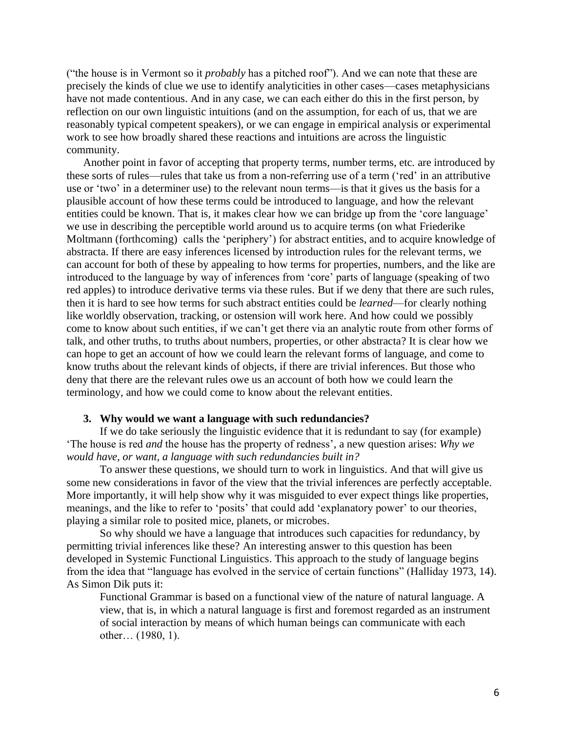("the house is in Vermont so it *probably* has a pitched roof"). And we can note that these are precisely the kinds of clue we use to identify analyticities in other cases—cases metaphysicians have not made contentious. And in any case, we can each either do this in the first person, by reflection on our own linguistic intuitions (and on the assumption, for each of us, that we are reasonably typical competent speakers), or we can engage in empirical analysis or experimental work to see how broadly shared these reactions and intuitions are across the linguistic community.

Another point in favor of accepting that property terms, number terms, etc. are introduced by these sorts of rules—rules that take us from a non-referring use of a term ('red' in an attributive use or 'two' in a determiner use) to the relevant noun terms—is that it gives us the basis for a plausible account of how these terms could be introduced to language, and how the relevant entities could be known. That is, it makes clear how we can bridge up from the 'core language' we use in describing the perceptible world around us to acquire terms (on what Friederike Moltmann (forthcoming) calls the 'periphery') for abstract entities, and to acquire knowledge of abstracta. If there are easy inferences licensed by introduction rules for the relevant terms, we can account for both of these by appealing to how terms for properties, numbers, and the like are introduced to the language by way of inferences from 'core' parts of language (speaking of two red apples) to introduce derivative terms via these rules. But if we deny that there are such rules, then it is hard to see how terms for such abstract entities could be *learned*—for clearly nothing like worldly observation, tracking, or ostension will work here. And how could we possibly come to know about such entities, if we can't get there via an analytic route from other forms of talk, and other truths, to truths about numbers, properties, or other abstracta? It is clear how we can hope to get an account of how we could learn the relevant forms of language, and come to know truths about the relevant kinds of objects, if there are trivial inferences. But those who deny that there are the relevant rules owe us an account of both how we could learn the terminology, and how we could come to know about the relevant entities.

## **3. Why would we want a language with such redundancies?**

If we do take seriously the linguistic evidence that it is redundant to say (for example) 'The house is red *and* the house has the property of redness', a new question arises: *Why we would have, or want, a language with such redundancies built in?*

To answer these questions, we should turn to work in linguistics. And that will give us some new considerations in favor of the view that the trivial inferences are perfectly acceptable. More importantly, it will help show why it was misguided to ever expect things like properties, meanings, and the like to refer to 'posits' that could add 'explanatory power' to our theories, playing a similar role to posited mice, planets, or microbes.

So why should we have a language that introduces such capacities for redundancy, by permitting trivial inferences like these? An interesting answer to this question has been developed in Systemic Functional Linguistics. This approach to the study of language begins from the idea that "language has evolved in the service of certain functions" (Halliday 1973, 14). As Simon Dik puts it:

Functional Grammar is based on a functional view of the nature of natural language. A view, that is, in which a natural language is first and foremost regarded as an instrument of social interaction by means of which human beings can communicate with each other… (1980, 1).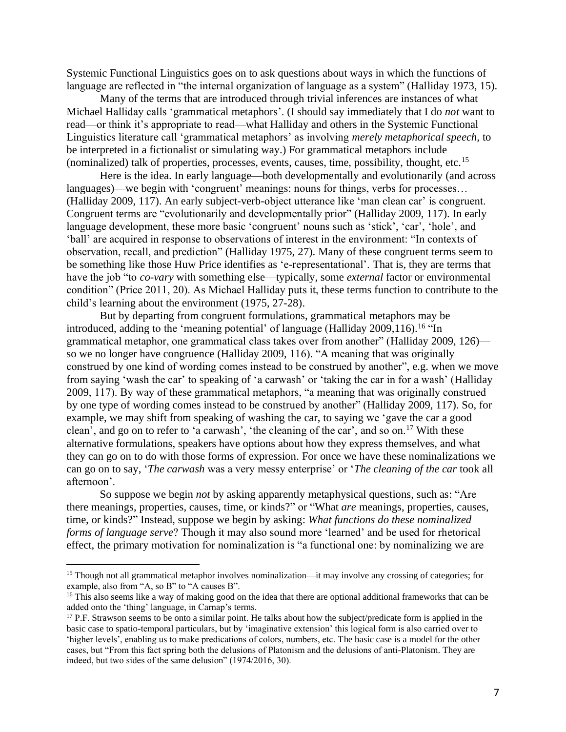Systemic Functional Linguistics goes on to ask questions about ways in which the functions of language are reflected in "the internal organization of language as a system" (Halliday 1973, 15).

Many of the terms that are introduced through trivial inferences are instances of what Michael Halliday calls 'grammatical metaphors'. (I should say immediately that I do *not* want to read—or think it's appropriate to read—what Halliday and others in the Systemic Functional Linguistics literature call 'grammatical metaphors' as involving *merely metaphorical speech,* to be interpreted in a fictionalist or simulating way.) For grammatical metaphors include (nominalized) talk of properties, processes, events, causes, time, possibility, thought, etc.<sup>15</sup>

Here is the idea. In early language—both developmentally and evolutionarily (and across languages)—we begin with 'congruent' meanings: nouns for things, verbs for processes… (Halliday 2009, 117). An early subject-verb-object utterance like 'man clean car' is congruent. Congruent terms are "evolutionarily and developmentally prior" (Halliday 2009, 117). In early language development, these more basic 'congruent' nouns such as 'stick', 'car', 'hole', and 'ball' are acquired in response to observations of interest in the environment: "In contexts of observation, recall, and prediction" (Halliday 1975, 27). Many of these congruent terms seem to be something like those Huw Price identifies as 'e-representational'. That is, they are terms that have the job "to *co-vary* with something else—typically, some *external* factor or environmental condition" (Price 2011, 20). As Michael Halliday puts it, these terms function to contribute to the child's learning about the environment (1975, 27-28).

But by departing from congruent formulations, grammatical metaphors may be introduced, adding to the 'meaning potential' of language (Halliday  $2009,116$ ).<sup>16</sup> "In grammatical metaphor, one grammatical class takes over from another" (Halliday 2009, 126) so we no longer have congruence (Halliday 2009, 116). "A meaning that was originally construed by one kind of wording comes instead to be construed by another", e.g. when we move from saying 'wash the car' to speaking of 'a carwash' or 'taking the car in for a wash' (Halliday 2009, 117). By way of these grammatical metaphors, "a meaning that was originally construed by one type of wording comes instead to be construed by another" (Halliday 2009, 117). So, for example, we may shift from speaking of washing the car, to saying we 'gave the car a good clean', and go on to refer to 'a carwash', 'the cleaning of the car', and so on.<sup>17</sup> With these alternative formulations, speakers have options about how they express themselves, and what they can go on to do with those forms of expression. For once we have these nominalizations we can go on to say, '*The carwash* was a very messy enterprise' or '*The cleaning of the car* took all afternoon'.

So suppose we begin *not* by asking apparently metaphysical questions, such as: "Are there meanings, properties, causes, time, or kinds?" or "What *are* meanings, properties, causes, time, or kinds?" Instead, suppose we begin by asking: *What functions do these nominalized forms of language serve*? Though it may also sound more 'learned' and be used for rhetorical effect, the primary motivation for nominalization is "a functional one: by nominalizing we are

<sup>15</sup> Though not all grammatical metaphor involves nominalization—it may involve any crossing of categories; for example, also from "A, so B" to "A causes B".

<sup>&</sup>lt;sup>16</sup> This also seems like a way of making good on the idea that there are optional additional frameworks that can be added onto the 'thing' language, in Carnap's terms.

 $17$  P.F. Strawson seems to be onto a similar point. He talks about how the subject/predicate form is applied in the basic case to spatio-temporal particulars, but by 'imaginative extension' this logical form is also carried over to 'higher levels', enabling us to make predications of colors, numbers, etc. The basic case is a model for the other cases, but "From this fact spring both the delusions of Platonism and the delusions of anti-Platonism. They are indeed, but two sides of the same delusion" (1974/2016, 30).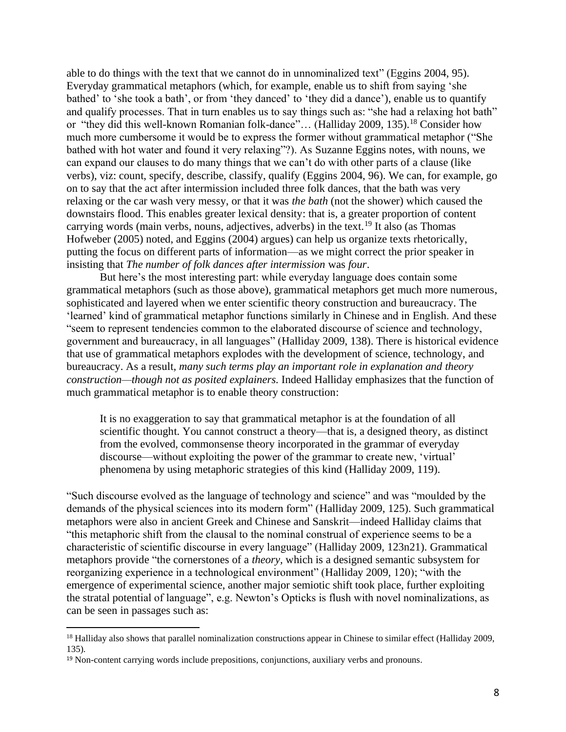able to do things with the text that we cannot do in unnominalized text" (Eggins 2004, 95). Everyday grammatical metaphors (which, for example, enable us to shift from saying 'she bathed' to 'she took a bath', or from 'they danced' to 'they did a dance'), enable us to quantify and qualify processes. That in turn enables us to say things such as: "she had a relaxing hot bath" or "they did this well-known Romanian folk-dance"… (Halliday 2009, 135).<sup>18</sup> Consider how much more cumbersome it would be to express the former without grammatical metaphor ("She bathed with hot water and found it very relaxing"?). As Suzanne Eggins notes, with nouns, we can expand our clauses to do many things that we can't do with other parts of a clause (like verbs), viz: count, specify, describe, classify, qualify (Eggins 2004, 96). We can, for example, go on to say that the act after intermission included three folk dances, that the bath was very relaxing or the car wash very messy, or that it was *the bath* (not the shower) which caused the downstairs flood. This enables greater lexical density: that is, a greater proportion of content carrying words (main verbs, nouns, adjectives, adverbs) in the text.<sup>19</sup> It also (as Thomas Hofweber (2005) noted, and Eggins (2004) argues) can help us organize texts rhetorically, putting the focus on different parts of information—as we might correct the prior speaker in insisting that *The number of folk dances after intermission* was *four*.

But here's the most interesting part: while everyday language does contain some grammatical metaphors (such as those above), grammatical metaphors get much more numerous, sophisticated and layered when we enter scientific theory construction and bureaucracy. The 'learned' kind of grammatical metaphor functions similarly in Chinese and in English. And these "seem to represent tendencies common to the elaborated discourse of science and technology, government and bureaucracy, in all languages" (Halliday 2009, 138). There is historical evidence that use of grammatical metaphors explodes with the development of science, technology, and bureaucracy. As a result, *many such terms play an important role in explanation and theory construction—though not as posited explainers.* Indeed Halliday emphasizes that the function of much grammatical metaphor is to enable theory construction:

It is no exaggeration to say that grammatical metaphor is at the foundation of all scientific thought. You cannot construct a theory—that is, a designed theory, as distinct from the evolved, commonsense theory incorporated in the grammar of everyday discourse—without exploiting the power of the grammar to create new, 'virtual' phenomena by using metaphoric strategies of this kind (Halliday 2009, 119).

"Such discourse evolved as the language of technology and science" and was "moulded by the demands of the physical sciences into its modern form" (Halliday 2009, 125). Such grammatical metaphors were also in ancient Greek and Chinese and Sanskrit—indeed Halliday claims that "this metaphoric shift from the clausal to the nominal construal of experience seems to be a characteristic of scientific discourse in every language" (Halliday 2009, 123n21). Grammatical metaphors provide "the cornerstones of a *theory,* which is a designed semantic subsystem for reorganizing experience in a technological environment" (Halliday 2009, 120); "with the emergence of experimental science, another major semiotic shift took place, further exploiting the stratal potential of language", e.g. Newton's Opticks is flush with novel nominalizations, as can be seen in passages such as:

<sup>&</sup>lt;sup>18</sup> Halliday also shows that parallel nominalization constructions appear in Chinese to similar effect (Halliday 2009, 135).

<sup>19</sup> Non-content carrying words include prepositions, conjunctions, auxiliary verbs and pronouns.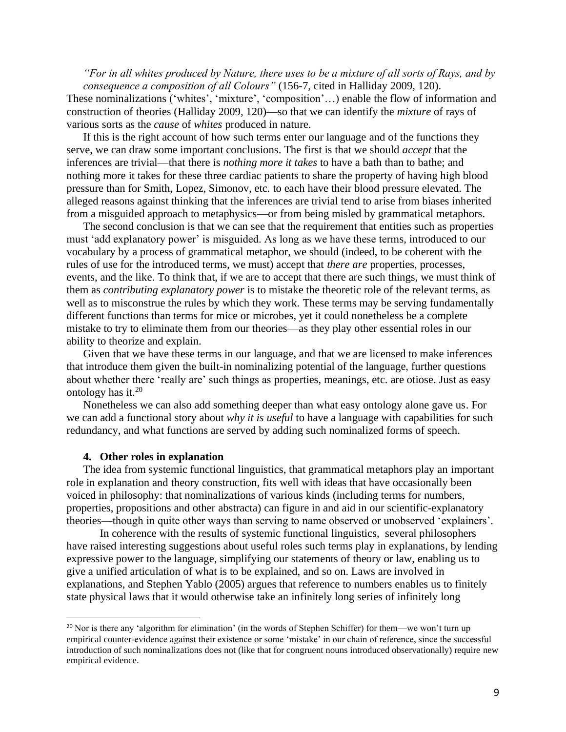*"For in all whites produced by Nature, there uses to be a mixture of all sorts of Rays, and by consequence a composition of all Colours"* (156-7, cited in Halliday 2009, 120).

These nominalizations ('whites', 'mixture', 'composition'…) enable the flow of information and construction of theories (Halliday 2009, 120)—so that we can identify the *mixture* of rays of various sorts as the *cause* of *whites* produced in nature.

If this is the right account of how such terms enter our language and of the functions they serve, we can draw some important conclusions. The first is that we should *accept* that the inferences are trivial—that there is *nothing more it takes* to have a bath than to bathe; and nothing more it takes for these three cardiac patients to share the property of having high blood pressure than for Smith, Lopez, Simonov, etc. to each have their blood pressure elevated. The alleged reasons against thinking that the inferences are trivial tend to arise from biases inherited from a misguided approach to metaphysics—or from being misled by grammatical metaphors.

The second conclusion is that we can see that the requirement that entities such as properties must 'add explanatory power' is misguided. As long as we have these terms, introduced to our vocabulary by a process of grammatical metaphor, we should (indeed, to be coherent with the rules of use for the introduced terms, we must) accept that *there are* properties, processes, events, and the like. To think that, if we are to accept that there are such things, we must think of them as *contributing explanatory power* is to mistake the theoretic role of the relevant terms, as well as to misconstrue the rules by which they work. These terms may be serving fundamentally different functions than terms for mice or microbes, yet it could nonetheless be a complete mistake to try to eliminate them from our theories—as they play other essential roles in our ability to theorize and explain.

Given that we have these terms in our language, and that we are licensed to make inferences that introduce them given the built-in nominalizing potential of the language, further questions about whether there 'really are' such things as properties, meanings, etc. are otiose. Just as easy ontology has it. $20$ 

Nonetheless we can also add something deeper than what easy ontology alone gave us. For we can add a functional story about *why it is useful* to have a language with capabilities for such redundancy, and what functions are served by adding such nominalized forms of speech.

#### **4. Other roles in explanation**

The idea from systemic functional linguistics, that grammatical metaphors play an important role in explanation and theory construction, fits well with ideas that have occasionally been voiced in philosophy: that nominalizations of various kinds (including terms for numbers, properties, propositions and other abstracta) can figure in and aid in our scientific-explanatory theories—though in quite other ways than serving to name observed or unobserved 'explainers'.

In coherence with the results of systemic functional linguistics, several philosophers have raised interesting suggestions about useful roles such terms play in explanations, by lending expressive power to the language, simplifying our statements of theory or law, enabling us to give a unified articulation of what is to be explained, and so on. Laws are involved in explanations, and Stephen Yablo (2005) argues that reference to numbers enables us to finitely state physical laws that it would otherwise take an infinitely long series of infinitely long

<sup>20</sup> Nor is there any 'algorithm for elimination' (in the words of Stephen Schiffer) for them—we won't turn up empirical counter-evidence against their existence or some 'mistake' in our chain of reference, since the successful introduction of such nominalizations does not (like that for congruent nouns introduced observationally) require new empirical evidence.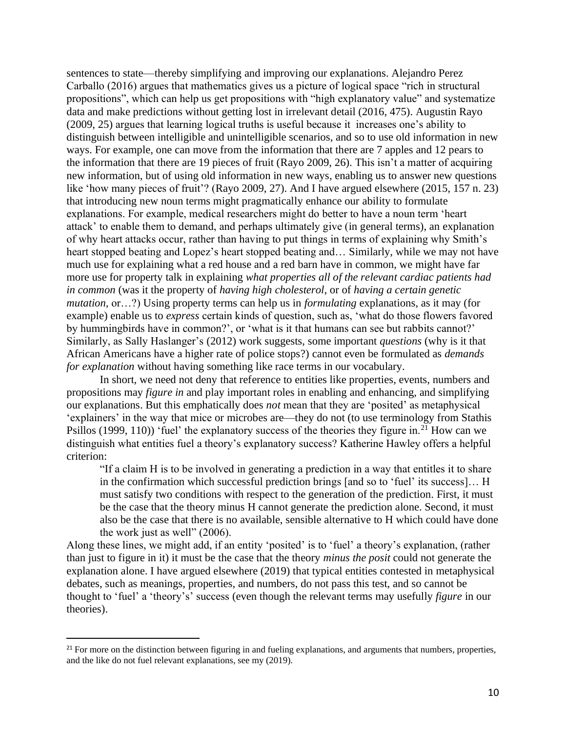sentences to state—thereby simplifying and improving our explanations. Alejandro Perez Carballo (2016) argues that mathematics gives us a picture of logical space "rich in structural propositions", which can help us get propositions with "high explanatory value" and systematize data and make predictions without getting lost in irrelevant detail (2016, 475). Augustin Rayo (2009, 25) argues that learning logical truths is useful because it increases one's ability to distinguish between intelligible and unintelligible scenarios, and so to use old information in new ways. For example, one can move from the information that there are 7 apples and 12 pears to the information that there are 19 pieces of fruit (Rayo 2009, 26). This isn't a matter of acquiring new information, but of using old information in new ways, enabling us to answer new questions like 'how many pieces of fruit'? (Rayo 2009, 27). And I have argued elsewhere (2015, 157 n. 23) that introducing new noun terms might pragmatically enhance our ability to formulate explanations. For example, medical researchers might do better to have a noun term 'heart attack' to enable them to demand, and perhaps ultimately give (in general terms), an explanation of why heart attacks occur, rather than having to put things in terms of explaining why Smith's heart stopped beating and Lopez's heart stopped beating and… Similarly, while we may not have much use for explaining what a red house and a red barn have in common, we might have far more use for property talk in explaining *what properties all of the relevant cardiac patients had in common* (was it the property of *having high cholesterol*, or of *having a certain genetic mutation,* or…?) Using property terms can help us in *formulating* explanations, as it may (for example) enable us to *express* certain kinds of question, such as, 'what do those flowers favored by hummingbirds have in common?', or 'what is it that humans can see but rabbits cannot?' Similarly, as Sally Haslanger's (2012) work suggests, some important *questions* (why is it that African Americans have a higher rate of police stops?) cannot even be formulated as *demands for explanation* without having something like race terms in our vocabulary.

In short, we need not deny that reference to entities like properties, events, numbers and propositions may *figure in* and play important roles in enabling and enhancing, and simplifying our explanations. But this emphatically does *not* mean that they are 'posited' as metaphysical 'explainers' in the way that mice or microbes are—they do not (to use terminology from Stathis Psillos (1999, 110)) 'fuel' the explanatory success of the theories they figure in.<sup>21</sup> How can we distinguish what entities fuel a theory's explanatory success? Katherine Hawley offers a helpful criterion:

"If a claim H is to be involved in generating a prediction in a way that entitles it to share in the confirmation which successful prediction brings [and so to 'fuel' its success]… H must satisfy two conditions with respect to the generation of the prediction. First, it must be the case that the theory minus H cannot generate the prediction alone. Second, it must also be the case that there is no available, sensible alternative to H which could have done the work just as well" (2006).

Along these lines, we might add, if an entity 'posited' is to 'fuel' a theory's explanation, (rather than just to figure in it) it must be the case that the theory *minus the posit* could not generate the explanation alone. I have argued elsewhere (2019) that typical entities contested in metaphysical debates, such as meanings, properties, and numbers, do not pass this test, and so cannot be thought to 'fuel' a 'theory's' success (even though the relevant terms may usefully *figure* in our theories).

<sup>&</sup>lt;sup>21</sup> For more on the distinction between figuring in and fueling explanations, and arguments that numbers, properties, and the like do not fuel relevant explanations, see my (2019).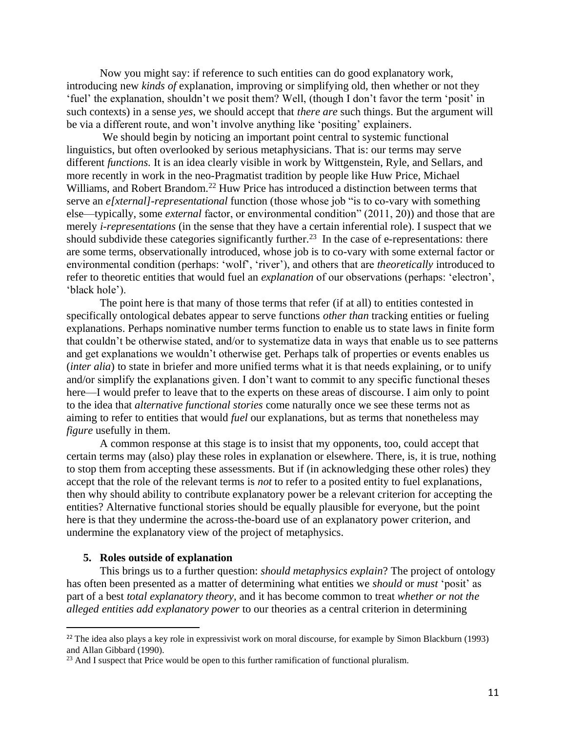Now you might say: if reference to such entities can do good explanatory work, introducing new *kinds of* explanation, improving or simplifying old, then whether or not they 'fuel' the explanation, shouldn't we posit them? Well, (though I don't favor the term 'posit' in such contexts) in a sense *yes*, we should accept that *there are* such things. But the argument will be via a different route, and won't involve anything like 'positing' explainers.

We should begin by noticing an important point central to systemic functional linguistics, but often overlooked by serious metaphysicians. That is: our terms may serve different *functions.* It is an idea clearly visible in work by Wittgenstein, Ryle, and Sellars, and more recently in work in the neo-Pragmatist tradition by people like Huw Price, Michael Williams, and Robert Brandom.<sup>22</sup> Huw Price has introduced a distinction between terms that serve an *e[xternal]-representational* function (those whose job "is to co-vary with something else—typically, some *external* factor, or environmental condition" (2011, 20)) and those that are merely *i-representations* (in the sense that they have a certain inferential role). I suspect that we should subdivide these categories significantly further.<sup>23</sup> In the case of e-representations: there are some terms, observationally introduced, whose job is to co-vary with some external factor or environmental condition (perhaps: 'wolf', 'river'), and others that are *theoretically* introduced to refer to theoretic entities that would fuel an *explanation* of our observations (perhaps: 'electron', 'black hole').

The point here is that many of those terms that refer (if at all) to entities contested in specifically ontological debates appear to serve functions *other than* tracking entities or fueling explanations. Perhaps nominative number terms function to enable us to state laws in finite form that couldn't be otherwise stated, and/or to systematize data in ways that enable us to see patterns and get explanations we wouldn't otherwise get. Perhaps talk of properties or events enables us (*inter alia*) to state in briefer and more unified terms what it is that needs explaining, or to unify and/or simplify the explanations given. I don't want to commit to any specific functional theses here—I would prefer to leave that to the experts on these areas of discourse. I aim only to point to the idea that *alternative functional stories* come naturally once we see these terms not as aiming to refer to entities that would *fuel* our explanations, but as terms that nonetheless may *figure* usefully in them.

A common response at this stage is to insist that my opponents, too, could accept that certain terms may (also) play these roles in explanation or elsewhere. There, is, it is true, nothing to stop them from accepting these assessments. But if (in acknowledging these other roles) they accept that the role of the relevant terms is *not* to refer to a posited entity to fuel explanations, then why should ability to contribute explanatory power be a relevant criterion for accepting the entities? Alternative functional stories should be equally plausible for everyone, but the point here is that they undermine the across-the-board use of an explanatory power criterion, and undermine the explanatory view of the project of metaphysics.

## **5. Roles outside of explanation**

This brings us to a further question: *should metaphysics explain*? The project of ontology has often been presented as a matter of determining what entities we *should* or *must* 'posit' as part of a best *total explanatory theory,* and it has become common to treat *whether or not the alleged entities add explanatory power* to our theories as a central criterion in determining

<sup>&</sup>lt;sup>22</sup> The idea also plays a key role in expressivist work on moral discourse, for example by Simon Blackburn (1993) and Allan Gibbard (1990).

<sup>&</sup>lt;sup>23</sup> And I suspect that Price would be open to this further ramification of functional pluralism.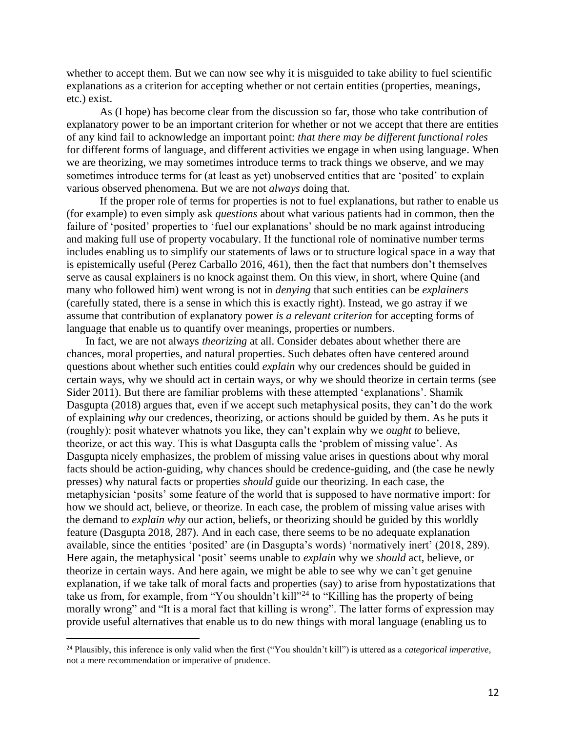whether to accept them. But we can now see why it is misguided to take ability to fuel scientific explanations as a criterion for accepting whether or not certain entities (properties, meanings, etc.) exist.

As (I hope) has become clear from the discussion so far, those who take contribution of explanatory power to be an important criterion for whether or not we accept that there are entities of any kind fail to acknowledge an important point: *that there may be different functional roles*  for different forms of language, and different activities we engage in when using language. When we are theorizing, we may sometimes introduce terms to track things we observe, and we may sometimes introduce terms for (at least as yet) unobserved entities that are 'posited' to explain various observed phenomena. But we are not *always* doing that.

If the proper role of terms for properties is not to fuel explanations, but rather to enable us (for example) to even simply ask *questions* about what various patients had in common, then the failure of 'posited' properties to 'fuel our explanations' should be no mark against introducing and making full use of property vocabulary. If the functional role of nominative number terms includes enabling us to simplify our statements of laws or to structure logical space in a way that is epistemically useful (Perez Carballo 2016, 461), then the fact that numbers don't themselves serve as causal explainers is no knock against them. On this view, in short, where Quine (and many who followed him) went wrong is not in *denying* that such entities can be *explainers* (carefully stated, there is a sense in which this is exactly right). Instead, we go astray if we assume that contribution of explanatory power *is a relevant criterion* for accepting forms of language that enable us to quantify over meanings, properties or numbers.

In fact, we are not always *theorizing* at all. Consider debates about whether there are chances, moral properties, and natural properties. Such debates often have centered around questions about whether such entities could *explain* why our credences should be guided in certain ways, why we should act in certain ways, or why we should theorize in certain terms (see Sider 2011). But there are familiar problems with these attempted 'explanations'. Shamik Dasgupta (2018) argues that, even if we accept such metaphysical posits, they can't do the work of explaining *why* our credences, theorizing, or actions should be guided by them. As he puts it (roughly): posit whatever whatnots you like, they can't explain why we *ought to* believe, theorize, or act this way. This is what Dasgupta calls the 'problem of missing value'. As Dasgupta nicely emphasizes, the problem of missing value arises in questions about why moral facts should be action-guiding, why chances should be credence-guiding, and (the case he newly presses) why natural facts or properties *should* guide our theorizing. In each case, the metaphysician 'posits' some feature of the world that is supposed to have normative import: for how we should act, believe, or theorize. In each case, the problem of missing value arises with the demand to *explain why* our action, beliefs, or theorizing should be guided by this worldly feature (Dasgupta 2018, 287). And in each case, there seems to be no adequate explanation available, since the entities 'posited' are (in Dasgupta's words) 'normatively inert' (2018, 289). Here again, the metaphysical 'posit' seems unable to *explain* why we *should* act, believe, or theorize in certain ways. And here again, we might be able to see why we can't get genuine explanation, if we take talk of moral facts and properties (say) to arise from hypostatizations that take us from, for example, from "You shouldn't kill"<sup>24</sup> to "Killing has the property of being morally wrong" and "It is a moral fact that killing is wrong". The latter forms of expression may provide useful alternatives that enable us to do new things with moral language (enabling us to

<sup>24</sup> Plausibly, this inference is only valid when the first ("You shouldn't kill") is uttered as a *categorical imperative*, not a mere recommendation or imperative of prudence.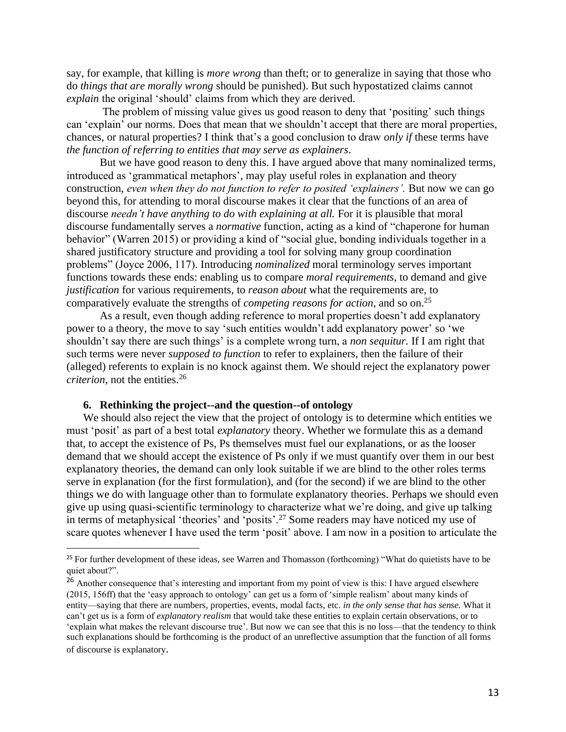say, for example, that killing is *more wrong* than theft; or to generalize in saying that those who do *things that are morally wrong* should be punished). But such hypostatized claims cannot *explain* the original 'should' claims from which they are derived.

The problem of missing value gives us good reason to deny that 'positing' such things can 'explain' our norms. Does that mean that we shouldn't accept that there are moral properties, chances, or natural properties? I think that's a good conclusion to draw *only if* these terms have *the function of referring to entities that may serve as explainers.*

But we have good reason to deny this. I have argued above that many nominalized terms, introduced as 'grammatical metaphors', may play useful roles in explanation and theory construction, *even when they do not function to refer to posited 'explainers'.* But now we can go beyond this, for attending to moral discourse makes it clear that the functions of an area of discourse *needn't have anything to do with explaining at all.* For it is plausible that moral discourse fundamentally serves a *normative* function, acting as a kind of "chaperone for human behavior" (Warren 2015) or providing a kind of "social glue, bonding individuals together in a shared justificatory structure and providing a tool for solving many group coordination problems" (Joyce 2006, 117). Introducing *nominalized* moral terminology serves important functions towards these ends: enabling us to compare *moral requirements*, to demand and give *justification* for various requirements, to *reason about* what the requirements are, to comparatively evaluate the strengths of *competing reasons for action*, and so on. 25

As a result, even though adding reference to moral properties doesn't add explanatory power to a theory, the move to say 'such entities wouldn't add explanatory power' so 'we shouldn't say there are such things' is a complete wrong turn, a *non sequitur.* If I am right that such terms were never *supposed to function* to refer to explainers, then the failure of their (alleged) referents to explain is no knock against them. We should reject the explanatory power *criterion*, not the entities. 26

### **6. Rethinking the project--and the question--of ontology**

We should also reject the view that the project of ontology is to determine which entities we must 'posit' as part of a best total *explanatory* theory. Whether we formulate this as a demand that, to accept the existence of Ps, Ps themselves must fuel our explanations, or as the looser demand that we should accept the existence of Ps only if we must quantify over them in our best explanatory theories, the demand can only look suitable if we are blind to the other roles terms serve in explanation (for the first formulation), and (for the second) if we are blind to the other things we do with language other than to formulate explanatory theories. Perhaps we should even give up using quasi-scientific terminology to characterize what we're doing, and give up talking in terms of metaphysical 'theories' and 'posits'.<sup>27</sup> Some readers may have noticed my use of scare quotes whenever I have used the term 'posit' above. I am now in a position to articulate the

<sup>&</sup>lt;sup>25</sup> For further development of these ideas, see Warren and Thomasson (forthcoming) "What do quietists have to be quiet about?".

<sup>&</sup>lt;sup>26</sup> Another consequence that's interesting and important from my point of view is this: I have argued elsewhere (2015, 156ff) that the 'easy approach to ontology' can get us a form of 'simple realism' about many kinds of entity—saying that there are numbers, properties, events, modal facts, etc. *in the only sense that has sense.* What it can't get us is a form of *explanatory realism* that would take these entities to explain certain observations, or to 'explain what makes the relevant discourse true'. But now we can see that this is no loss—that the tendency to think such explanations should be forthcoming is the product of an unreflective assumption that the function of all forms of discourse is explanatory.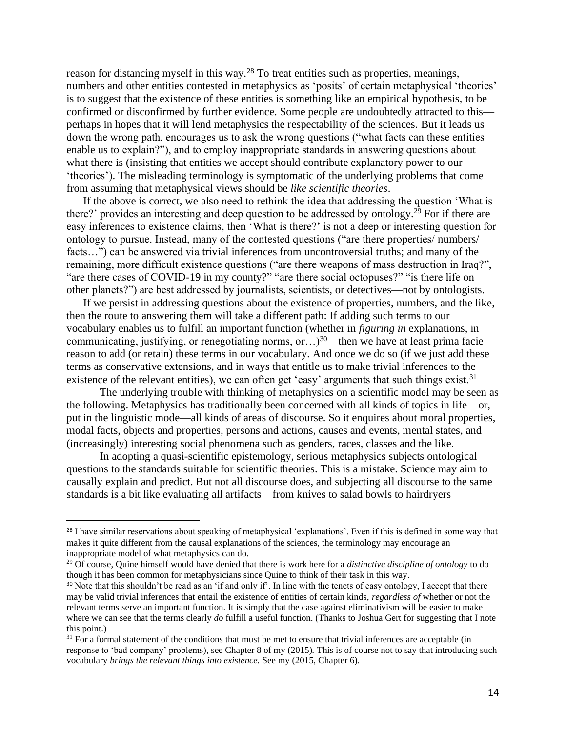reason for distancing myself in this way.<sup>28</sup> To treat entities such as properties, meanings, numbers and other entities contested in metaphysics as 'posits' of certain metaphysical 'theories' is to suggest that the existence of these entities is something like an empirical hypothesis, to be confirmed or disconfirmed by further evidence. Some people are undoubtedly attracted to this perhaps in hopes that it will lend metaphysics the respectability of the sciences. But it leads us down the wrong path, encourages us to ask the wrong questions ("what facts can these entities enable us to explain?"), and to employ inappropriate standards in answering questions about what there is (insisting that entities we accept should contribute explanatory power to our 'theories'). The misleading terminology is symptomatic of the underlying problems that come from assuming that metaphysical views should be *like scientific theories*.

If the above is correct, we also need to rethink the idea that addressing the question 'What is there?' provides an interesting and deep question to be addressed by ontology.<sup>29</sup> For if there are easy inferences to existence claims, then 'What is there?' is not a deep or interesting question for ontology to pursue. Instead, many of the contested questions ("are there properties/ numbers/ facts...") can be answered via trivial inferences from uncontroversial truths; and many of the remaining, more difficult existence questions ("are there weapons of mass destruction in Iraq?", "are there cases of COVID-19 in my county?" "are there social octopuses?" "is there life on other planets?") are best addressed by journalists, scientists, or detectives—not by ontologists.

If we persist in addressing questions about the existence of properties, numbers, and the like, then the route to answering them will take a different path: If adding such terms to our vocabulary enables us to fulfill an important function (whether in *figuring in* explanations, in communicating, justifying, or renegotiating norms, or...)<sup>30</sup>—then we have at least prima facie reason to add (or retain) these terms in our vocabulary. And once we do so (if we just add these terms as conservative extensions, and in ways that entitle us to make trivial inferences to the existence of the relevant entities), we can often get 'easy' arguments that such things exist.<sup>31</sup>

The underlying trouble with thinking of metaphysics on a scientific model may be seen as the following. Metaphysics has traditionally been concerned with all kinds of topics in life—or, put in the linguistic mode—all kinds of areas of discourse. So it enquires about moral properties, modal facts, objects and properties, persons and actions, causes and events, mental states, and (increasingly) interesting social phenomena such as genders, races, classes and the like.

In adopting a quasi-scientific epistemology, serious metaphysics subjects ontological questions to the standards suitable for scientific theories. This is a mistake. Science may aim to causally explain and predict. But not all discourse does, and subjecting all discourse to the same standards is a bit like evaluating all artifacts—from knives to salad bowls to hairdryers—

<sup>&</sup>lt;sup>28</sup> I have similar reservations about speaking of metaphysical 'explanations'. Even if this is defined in some way that makes it quite different from the causal explanations of the sciences, the terminology may encourage an inappropriate model of what metaphysics can do.

<sup>29</sup> Of course, Quine himself would have denied that there is work here for a *distinctive discipline of ontology* to do though it has been common for metaphysicians since Quine to think of their task in this way.

<sup>&</sup>lt;sup>30</sup> Note that this shouldn't be read as an 'if and only if'. In line with the tenets of easy ontology, I accept that there may be valid trivial inferences that entail the existence of entities of certain kinds, *regardless of* whether or not the relevant terms serve an important function. It is simply that the case against eliminativism will be easier to make where we can see that the terms clearly *do* fulfill a useful function. (Thanks to Joshua Gert for suggesting that I note this point.)

 $31$  For a formal statement of the conditions that must be met to ensure that trivial inferences are acceptable (in response to 'bad company' problems), see Chapter 8 of my (2015)*.* This is of course not to say that introducing such vocabulary *brings the relevant things into existence.* See my (2015, Chapter 6).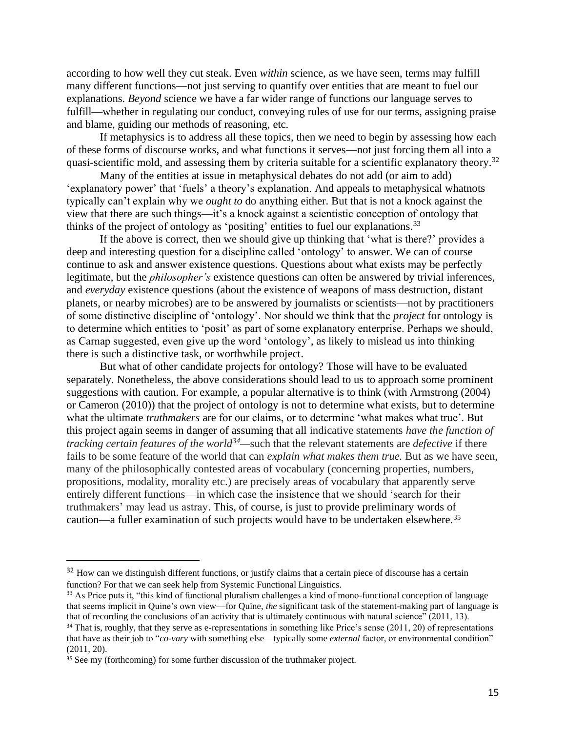according to how well they cut steak. Even *within* science, as we have seen, terms may fulfill many different functions—not just serving to quantify over entities that are meant to fuel our explanations*. Beyond* science we have a far wider range of functions our language serves to fulfill—whether in regulating our conduct, conveying rules of use for our terms, assigning praise and blame, guiding our methods of reasoning, etc.

If metaphysics is to address all these topics, then we need to begin by assessing how each of these forms of discourse works, and what functions it serves—not just forcing them all into a quasi-scientific mold, and assessing them by criteria suitable for a scientific explanatory theory.<sup>32</sup>

Many of the entities at issue in metaphysical debates do not add (or aim to add) 'explanatory power' that 'fuels' a theory's explanation. And appeals to metaphysical whatnots typically can't explain why we *ought to* do anything either. But that is not a knock against the view that there are such things—it's a knock against a scientistic conception of ontology that thinks of the project of ontology as 'positing' entities to fuel our explanations.<sup>33</sup>

If the above is correct, then we should give up thinking that 'what is there?' provides a deep and interesting question for a discipline called 'ontology' to answer. We can of course continue to ask and answer existence questions. Questions about what exists may be perfectly legitimate, but the *philosopher's* existence questions can often be answered by trivial inferences, and *everyday* existence questions (about the existence of weapons of mass destruction, distant planets, or nearby microbes) are to be answered by journalists or scientists—not by practitioners of some distinctive discipline of 'ontology'. Nor should we think that the *project* for ontology is to determine which entities to 'posit' as part of some explanatory enterprise. Perhaps we should, as Carnap suggested, even give up the word 'ontology', as likely to mislead us into thinking there is such a distinctive task, or worthwhile project.

But what of other candidate projects for ontology? Those will have to be evaluated separately. Nonetheless, the above considerations should lead to us to approach some prominent suggestions with caution. For example, a popular alternative is to think (with Armstrong (2004) or Cameron (2010)) that the project of ontology is not to determine what exists, but to determine what the ultimate *truthmakers* are for our claims, or to determine 'what makes what true'. But this project again seems in danger of assuming that all indicative statements *have the function of tracking certain features of the world<sup>34</sup>—*such that the relevant statements are *defective* if there fails to be some feature of the world that can *explain what makes them true.* But as we have seen, many of the philosophically contested areas of vocabulary (concerning properties, numbers, propositions, modality, morality etc.) are precisely areas of vocabulary that apparently serve entirely different functions—in which case the insistence that we should 'search for their truthmakers' may lead us astray. This, of course, is just to provide preliminary words of caution—a fuller examination of such projects would have to be undertaken elsewhere.<sup>35</sup>

<sup>&</sup>lt;sup>32</sup> How can we distinguish different functions, or justify claims that a certain piece of discourse has a certain function? For that we can seek help from Systemic Functional Linguistics.

<sup>&</sup>lt;sup>33</sup> As Price puts it, "this kind of functional pluralism challenges a kind of mono-functional conception of language that seems implicit in Quine's own view—for Quine, *the* significant task of the statement-making part of language is that of recording the conclusions of an activity that is ultimately continuous with natural science" (2011, 13).

 $34$  That is, roughly, that they serve as e-representations in something like Price's sense (2011, 20) of representations that have as their job to "*co-vary* with something else—typically some *external* factor, or environmental condition" (2011, 20).

<sup>&</sup>lt;sup>35</sup> See my (forthcoming) for some further discussion of the truthmaker project.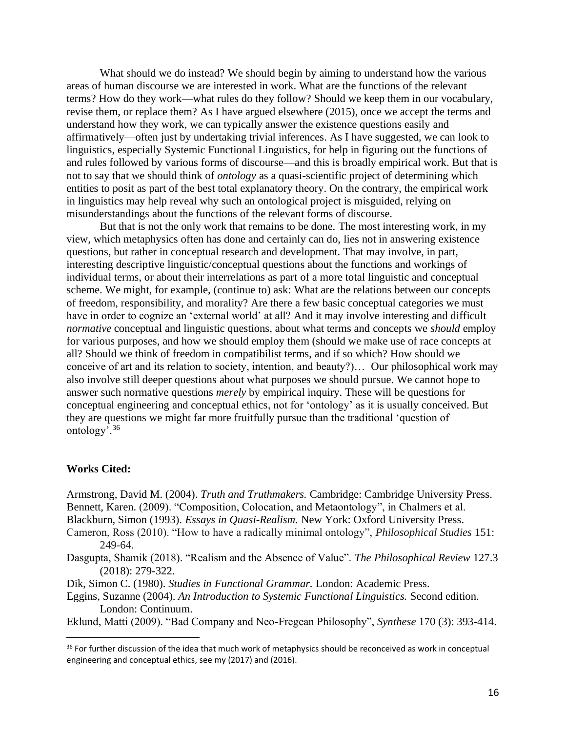What should we do instead? We should begin by aiming to understand how the various areas of human discourse we are interested in work. What are the functions of the relevant terms? How do they work—what rules do they follow? Should we keep them in our vocabulary, revise them, or replace them? As I have argued elsewhere (2015), once we accept the terms and understand how they work, we can typically answer the existence questions easily and affirmatively—often just by undertaking trivial inferences. As I have suggested, we can look to linguistics, especially Systemic Functional Linguistics, for help in figuring out the functions of and rules followed by various forms of discourse—and this is broadly empirical work. But that is not to say that we should think of *ontology* as a quasi-scientific project of determining which entities to posit as part of the best total explanatory theory. On the contrary, the empirical work in linguistics may help reveal why such an ontological project is misguided, relying on misunderstandings about the functions of the relevant forms of discourse.

But that is not the only work that remains to be done. The most interesting work, in my view, which metaphysics often has done and certainly can do, lies not in answering existence questions, but rather in conceptual research and development. That may involve, in part, interesting descriptive linguistic/conceptual questions about the functions and workings of individual terms, or about their interrelations as part of a more total linguistic and conceptual scheme. We might, for example, (continue to) ask: What are the relations between our concepts of freedom, responsibility, and morality? Are there a few basic conceptual categories we must have in order to cognize an 'external world' at all? And it may involve interesting and difficult *normative* conceptual and linguistic questions, about what terms and concepts we *should* employ for various purposes, and how we should employ them (should we make use of race concepts at all? Should we think of freedom in compatibilist terms, and if so which? How should we conceive of art and its relation to society, intention, and beauty?)… Our philosophical work may also involve still deeper questions about what purposes we should pursue. We cannot hope to answer such normative questions *merely* by empirical inquiry. These will be questions for conceptual engineering and conceptual ethics, not for 'ontology' as it is usually conceived. But they are questions we might far more fruitfully pursue than the traditional 'question of ontology'.<sup>36</sup>

## **Works Cited:**

Armstrong, David M. (2004). *Truth and Truthmakers.* Cambridge: Cambridge University Press. Bennett, Karen. (2009). "Composition, Colocation, and Metaontology", in Chalmers et al. Blackburn, Simon (1993). *Essays in Quasi-Realism.* New York: Oxford University Press.

Cameron, Ross (2010). "How to have a radically minimal ontology", *Philosophical Studies* 151: 249-64.

Dasgupta, Shamik (2018). "Realism and the Absence of Value". *The Philosophical Review* 127.3 (2018): 279-322.

Dik, Simon C. (1980). *Studies in Functional Grammar.* London: Academic Press.

Eggins, Suzanne (2004). *An Introduction to Systemic Functional Linguistics.* Second edition. London: Continuum.

Eklund, Matti (2009). "Bad Company and Neo-Fregean Philosophy", *Synthese* 170 (3): 393-414.

<sup>&</sup>lt;sup>36</sup> For further discussion of the idea that much work of metaphysics should be reconceived as work in conceptual engineering and conceptual ethics, see my (2017) and (2016).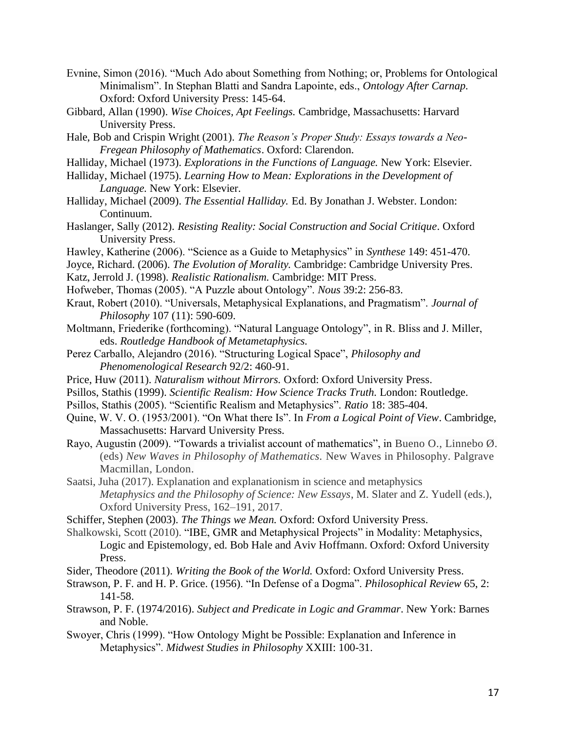- Evnine, Simon (2016). "Much Ado about Something from Nothing; or, Problems for Ontological Minimalism". In Stephan Blatti and Sandra Lapointe, eds., *Ontology After Carnap.*  Oxford: Oxford University Press: 145-64.
- Gibbard, Allan (1990). *Wise Choices, Apt Feelings.* Cambridge, Massachusetts: Harvard University Press.
- Hale, Bob and Crispin Wright (2001). *The Reason's Proper Study: Essays towards a Neo-Fregean Philosophy of Mathematics*. Oxford: Clarendon.
- Halliday, Michael (1973). *Explorations in the Functions of Language.* New York: Elsevier.
- Halliday, Michael (1975). *Learning How to Mean: Explorations in the Development of Language.* New York: Elsevier.
- Halliday, Michael (2009). *The Essential Halliday.* Ed. By Jonathan J. Webster. London: Continuum.
- Haslanger, Sally (2012). *Resisting Reality: Social Construction and Social Critique*. Oxford University Press.
- Hawley, Katherine (2006). "Science as a Guide to Metaphysics" in *Synthese* 149: 451-470.
- Joyce, Richard. (2006). *The Evolution of Morality.* Cambridge: Cambridge University Pres.
- Katz, Jerrold J. (1998). *Realistic Rationalism.* Cambridge: MIT Press.
- Hofweber, Thomas (2005). "A Puzzle about Ontology". *Nous* 39:2: 256-83.
- Kraut, Robert (2010). "Universals, Metaphysical Explanations, and Pragmatism". *Journal of Philosophy* 107 (11): 590-609.
- Moltmann, Friederike (forthcoming). "Natural Language Ontology", in R. Bliss and J. Miller, eds. *Routledge Handbook of Metametaphysics.*
- Perez Carballo, Alejandro (2016). "Structuring Logical Space", *Philosophy and Phenomenological Research* 92/2: 460-91.
- Price, Huw (2011). *Naturalism without Mirrors.* Oxford: Oxford University Press.
- Psillos, Stathis (1999). *Scientific Realism: How Science Tracks Truth.* London: Routledge.
- Psillos, Stathis (2005). "Scientific Realism and Metaphysics". *Ratio* 18: 385-404.
- Quine, W. V. O. (1953/2001). "On What there Is". In *From a Logical Point of View*. Cambridge, Massachusetts: Harvard University Press.
- Rayo, Augustin (2009). "Towards a trivialist account of mathematics", in Bueno O., Linnebo Ø. (eds) *New Waves in Philosophy of Mathematics.* New Waves in Philosophy. Palgrave Macmillan, London.
- Saatsi, Juha (2017). Explanation and explanationism in science and metaphysics *Metaphysics and the Philosophy of Science: New Essays*, M. Slater and Z. Yudell (eds.), Oxford University Press, 162–191, 2017.
- Schiffer, Stephen (2003). *The Things we Mean*. Oxford: Oxford University Press.
- Shalkowski, Scott (2010). "IBE, GMR and Metaphysical Projects" in Modality: Metaphysics, Logic and Epistemology, ed. Bob Hale and Aviv Hoffmann. Oxford: Oxford University Press.
- Sider, Theodore (2011). *Writing the Book of the World.* Oxford: Oxford University Press.
- Strawson, P. F. and H. P. Grice. (1956). "In Defense of a Dogma". *Philosophical Review* 65, 2: 141-58.
- Strawson, P. F. (1974/2016). *Subject and Predicate in Logic and Grammar.* New York: Barnes and Noble.
- Swoyer, Chris (1999). "How Ontology Might be Possible: Explanation and Inference in Metaphysics". *Midwest Studies in Philosophy* XXIII: 100-31.